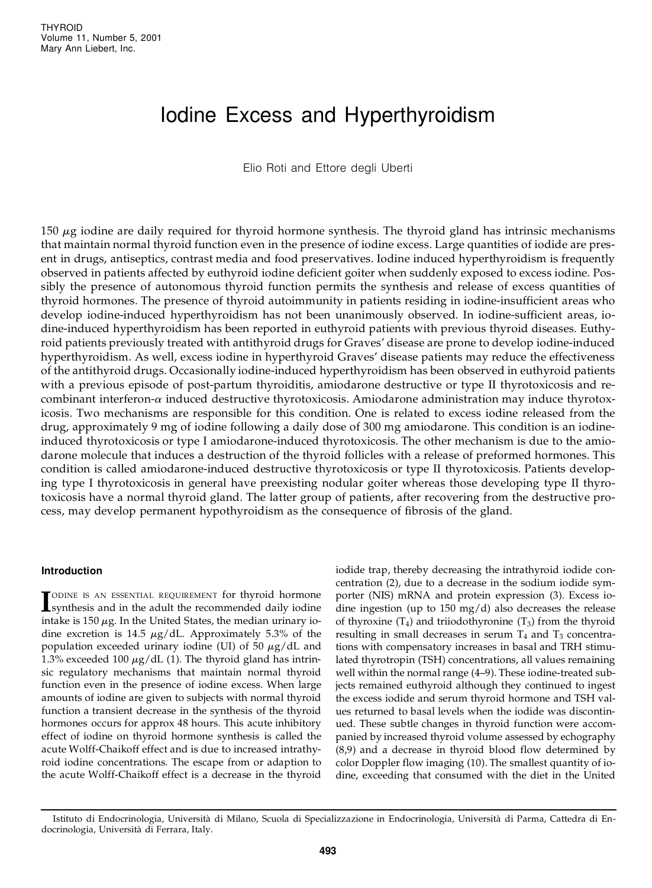# Iodine Excess and Hyperthyroidism

Elio Roti and Ettore degli Uberti

150 *m*g iodine are daily required for thyroid hormone synthesis. The thyroid gland has intrinsic mechanisms that maintain normal thyroid function even in the presence of iodine excess. Large quantities of iodide are present in drugs, antiseptics, contrast media and food preservatives. Iodine induced hyperthyroidism is frequently observed in patients affected by euthyroid iodine deficient goiter when suddenly exposed to excess iodine. Possibly the presence of autonomous thyroid function permits the synthesis and release of excess quantities of thyroid hormones. The presence of thyroid autoimmunity in patients residing in iodine-insufficient areas who develop iodine-induced hyperthyroidism has not been unanimously observed. In iodine-sufficient areas, iodine-induced hyperthyroidism has been reported in euthyroid patients with previous thyroid diseases. Euthyroid patients previously treated with antithyroid drugs for Graves' disease are prone to develop iodine-induced hyperthyroidism. As well, excess iodine in hyperthyroid Graves' disease patients may reduce the effectiveness of the antithyroid drugs. Occasionally iodine-induced hyperthyroidism has been observed in euthyroid patients with a previous episode of post-partum thyroiditis, amiodarone destructive or type II thyrotoxicosis and recombinant interferon-*a* induced destructive thyrotoxicosis. Amiodarone administration may induce thyrotoxicosis. Two mechanisms are responsible for this condition. One is related to excess iodine released from the drug, approximately 9 mg of iodine following a daily dose of 300 mg amiodarone. This condition is an iodineinduced thyrotoxicosis or type I amiodarone-induced thyrotoxicosis. The other mechanism is due to the amiodarone molecule that induces a destruction of the thyroid follicles with a release of preformed hormones. This condition is called amiodarone-induced destructive thyrotoxicosis or type II thyrotoxicosis. Patients developing type I thyrotoxicosis in general have preexisting nodular goiter whereas those developing type II thyrotoxicosis have a normal thyroid gland. The latter group of patients, after recovering from the destructive process, may develop permanent hypothyroidism as the consequence of fibrosis of the gland.

#### **Introduction**

**I**SODINE IS AN ESSENTIAL REQUIREMENT for thyroid hormone<br>
synthesis and in the adult the recommended daily iodine ODINE IS AN ESSENTIAL REQUIREMENT for thyroid hormone intake is 150 *m*g. In the United States, the median urinary iodine excretion is 14.5 *m*g/dL. Approximately 5.3% of the population exceeded urinary iodine (UI) of 50 *m*g/dL and 1.3% exceeded 100  $\mu$ g/dL (1). The thyroid gland has intrinsic regulatory mechanisms that maintain normal thyroid function even in the presence of iodine excess. When large amounts of iodine are given to subjects with normal thyroid function a transient decrease in the synthesis of the thyroid hormones occurs for approx 48 hours. This acute inhibitory effect of iodine on thyroid hormone synthesis is called the acute Wolff-Chaikoff effect and is due to increased intrathyroid iodine concentrations. The escape from or adaption to the acute Wolff-Chaikoff effect is a decrease in the thyroid

iodide trap, thereby decreasing the intrathyroid iodide con centration (2), due to a decrease in the sodium iodide symporter (NIS) mRNA and protein expression (3). Excess iodine ingestion (up to 150 mg/d) also decreases the release of thyroxine  $(T_4)$  and triiodothyronine  $(T_3)$  from the thyroid resulting in small decreases in serum  $T_4$  and  $T_3$  concentrations with compensatory increases in basal and TRH stimulated thyrotropin (TSH) concentrations, all values remaining well within the normal range (4–9). These iodine-treated subjects remained euthyroid although they continued to ingest the excess iodide and serum thyroid hormone and TSH val ues returned to basal levels when the iodide was discontinued. These subtle changes in thyroid function were accom panied by increased thyroid volume assessed by echography (8,9) and a decrease in thyroid blood flow determined by color Doppler flow imaging (10). The smallest quantity of iodine, exceeding that consumed with the diet in the United

Istituto di Endocrinologia, Università di Milano, Scuola di Specializzazione in Endocrinologia, Università di Parma, Cattedra di Endocrinologia, Università di Ferrara, Italy.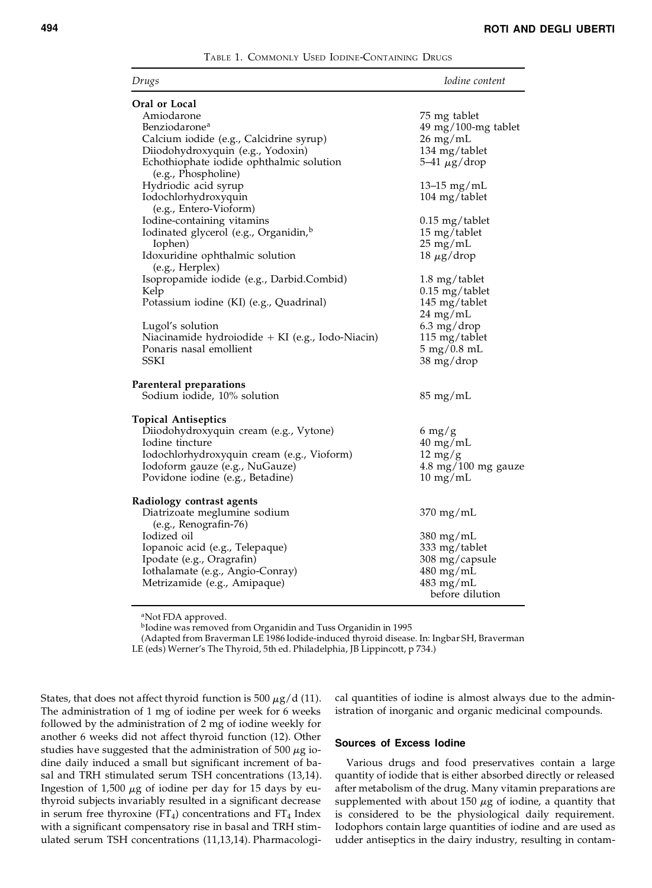TABLE 1. COMMONLY USED IODINE-CONTAINING DRUGS

| Drugs                                                     | <i>Iodine content</i>                                |
|-----------------------------------------------------------|------------------------------------------------------|
| Oral or Local                                             |                                                      |
| Amiodarone                                                | 75 mg tablet                                         |
| Benziodarone <sup>a</sup>                                 | $49$ mg/100-mg tablet                                |
| Calcium iodide (e.g., Calcidrine syrup)                   | $26 \text{ mg/mL}$                                   |
| Diiodohydroxyquin (e.g., Yodoxin)                         | 134 mg/tablet                                        |
| Echothiophate iodide ophthalmic solution                  | 5–41 $\mu$ g/drop                                    |
| (e.g., Phospholine)                                       |                                                      |
|                                                           |                                                      |
| Hydriodic acid syrup                                      | 13–15 mg/mL                                          |
| Iodochlorhydroxyquin                                      | $104 \text{ mg}/\text{table}$                        |
| (e.g., Entero-Vioform)                                    |                                                      |
| Iodine-containing vitamins                                | $0.15 \text{ mg}/\text{table}$                       |
| Iodinated glycerol (e.g., Organidin, <sup>b</sup>         | 15 mg/tablet                                         |
| Iophen)                                                   | $25 \text{ mg/mL}$                                   |
| Idoxuridine ophthalmic solution                           | $18 \mu g/drop$                                      |
| (e.g., Herplex)                                           |                                                      |
| Isopropamide iodide (e.g., Darbid.Combid)                 | $1.8 \text{ mg}/\text{table}$                        |
| Kelp                                                      | $0.15$ mg/tablet                                     |
| Potassium iodine (KI) (e.g., Quadrinal)                   | 145 mg/tablet                                        |
|                                                           | $24 \text{ mg/mL}$                                   |
| Lugol's solution                                          | $6.3 \text{ mg}/\text{drop}$                         |
| Niacinamide hydroiodide $+$ KI (e.g., Iodo-Niacin)        | $115 \text{ mg}/\text{table}$                        |
| Ponaris nasal emollient                                   | $5 \text{ mg}/0.8 \text{ mL}$                        |
| <b>SSKI</b>                                               | 38 mg/drop                                           |
| Parenteral preparations                                   |                                                      |
| Sodium iodide, 10% solution                               | $85 \text{ mg/mL}$                                   |
|                                                           |                                                      |
| <b>Topical Antiseptics</b>                                |                                                      |
| Diiodohydroxyquin cream (e.g., Vytone)<br>Iodine tincture | $6 \frac{\text{mg}}{\text{g}}$<br>$40 \text{ mg/mL}$ |
| Iodochlorhydroxyquin cream (e.g., Vioform)                |                                                      |
|                                                           | $12 \text{ mg/g}$                                    |
| Iodoform gauze (e.g., NuGauze)                            | $4.8 \text{ mg}/100 \text{ mg}$ gauze                |
| Povidone iodine (e.g., Betadine)                          | $10 \text{ mg/mL}$                                   |
| Radiology contrast agents                                 |                                                      |
| Diatrizoate meglumine sodium                              | $370 \text{ mg/mL}$                                  |
| (e.g., Renografin-76)                                     |                                                      |
| Iodized oil                                               | $380 \text{ mg/mL}$                                  |
| Iopanoic acid (e.g., Telepaque)                           | 333 mg/tablet                                        |
| Ipodate (e.g., Oragrafin)                                 | 308 mg/capsule                                       |
|                                                           | $480$ mg/mL                                          |
| Iothalamate (e.g., Angio-Conray)                          |                                                      |
| Metrizamide (e.g., Amipaque)                              | 483 mg/mL                                            |
|                                                           | before dilution                                      |

<sup>a</sup>Not FDA approved.

b Iodine was removed from Organidin and Tuss Organidin in 1995

(Adapted from Braverman LE 1986 Iodide-induced thyroid disease. In: Ingbar SH, Braverman LE (eds) Werner's The Thyroid, 5th ed. Philadelphia, JB Lippincott, p 734.)

States, that does not affect thyroid function is 500  $\mu$ g/d (11). The administration of 1 mg of iodine per week for 6 weeks followed by the administration of 2 mg of iodine weekly for another 6 weeks did not affect thyroid function (12). Other studies have suggested that the administration of 500 *m*g iodine daily induced a small but significant increment of basal and TRH stimulated serum TSH concentrations (13,14). Ingestion of 1,500 *m*g of iodine per day for 15 days by euthyroid subjects invariably resulted in a significant decrease in serum free thyroxine (FT<sub>4</sub>) concentrations and FT<sub>4</sub> Index with a significant compensatory rise in basal and TRH stimulated serum TSH concentrations (11,13,14). Pharmacological quantities of iodine is almost always due to the administration of inorganic and organic medicinal compounds.

#### **Sources of Excess Iodine**

Various drugs and food preservatives contain a large quantity of iodide that is either absorbed directly or released after metabolism of the drug. Many vitamin preparations are supplemented with about 150 *m*g of iodine, a quantity that is considered to be the physiological daily requirement. Iodophors contain large quantities of iodine and are used as udder antiseptics in the dairy industry, resulting in contam-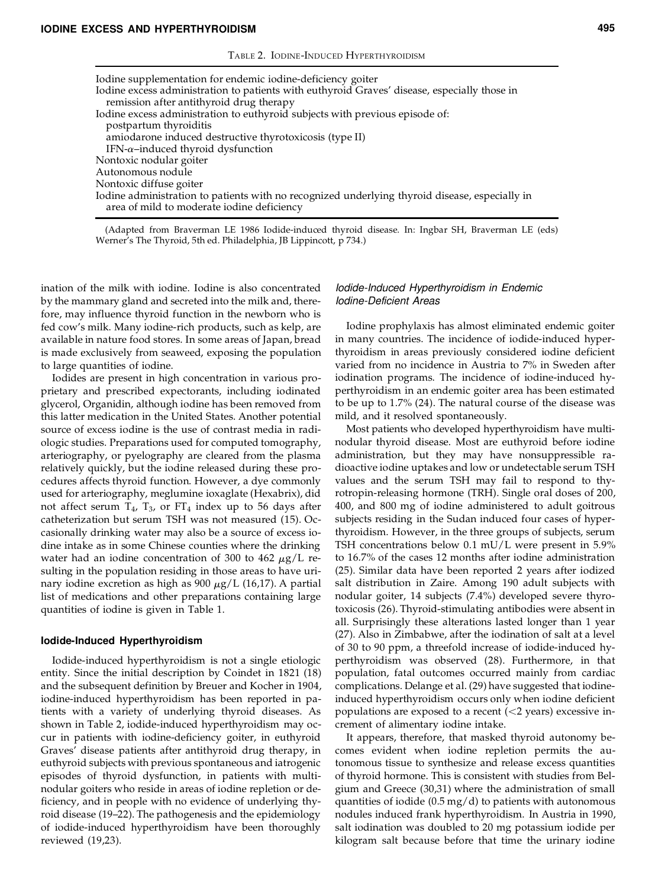| Iodine excess administration to patients with euthyroid Graves' disease, especially those in                                                 |
|----------------------------------------------------------------------------------------------------------------------------------------------|
| remission after antithyroid drug therapy                                                                                                     |
| Iodine excess administration to euthyroid subjects with previous episode of:                                                                 |
| postpartum thyroiditis                                                                                                                       |
| amiodarone induced destructive thyrotoxicosis (type II)                                                                                      |
| IFN- $\alpha$ -induced thyroid dysfunction                                                                                                   |
| Nontoxic nodular goiter                                                                                                                      |
| Autonomous nodule                                                                                                                            |
| Nontoxic diffuse goiter                                                                                                                      |
| Iodine administration to patients with no recognized underlying thyroid disease, especially in<br>area of mild to moderate iodine deficiency |
|                                                                                                                                              |

(Adapted from Braverman LE 1986 Iodide-induced thyroid disease. In: Ingbar SH, Braverman LE (eds) Werner's The Thyroid, 5th ed. Philadelphia, JB Lippincott, p 734.)

ination of the milk with iodine. Iodine is also concentrated by the mammary gland and secreted into the milk and, therefore, may influence thyroid function in the newborn who is fed cow's milk. Many iodine-rich products, such as kelp, are available in nature food stores. In some areas of Japan, bread is made exclusively from seaweed, exposing the population to large quantities of iodine.

Iodides are present in high concentration in various proprietary and prescribed expectorants, including iodinated glycerol, Organidin, although iodine has been removed from this latter medication in the United States. Another potential source of excess iodine is the use of contrast media in radiologic studies. Preparations used for computed tomography, arteriography, or pyelography are cleared from the plasma relatively quickly, but the iodine released during these procedures affects thyroid function. However, a dye commonly used for arteriography, meglumine ioxaglate (Hexabrix), did not affect serum  $T_4$ ,  $T_3$ , or  $FT_4$  index up to 56 days after catheterization but serum TSH was not measured (15). Occasionally drinking water may also be a source of excess iodine intake as in some Chinese counties where the drinking water had an iodine concentration of 300 to 462 *m*g/L re sulting in the population residing in those areas to have urinary iodine excretion as high as 900 *m*g/L (16,17). A partial list of medications and other preparations containing large quantities of iodine is given in Table 1.

#### **Iodide-Induced Hyperthyroidism**

Iodide-induced hyperthyroidism is not a single etiologic entity. Since the initial description by Coindet in 1821 (18) and the subsequent definition by Breuer and Kocher in 1904, iodine-induced hyperthyroidism has been reported in patients with a variety of underlying thyroid diseases. As shown in Table 2, iodide-induced hyperthyroidism may oc cur in patients with iodine-deficiency goiter, in euthyroid Graves' disease patients after antithyroid drug therapy, in euthyroid subjects with previous spontaneous and iatrogenic episodes of thyroid dysfunction, in patients with multinodular goiters who reside in areas of iodine repletion or deficiency, and in people with no evidence of underlying thyroid disease (19–22). The pathogenesis and the epidemiology of iodide-induced hyperthyroidism have been thoroughly reviewed (19,23).

## *Iodide-Induced Hyperthyroidism in Endemic Iodine-Deficient Areas*

Iodine prophylaxis has almost eliminated endemic goiter in many countries. The incidence of iodide-induced hyperthyroidism in areas previously considered iodine deficient varied from no incidence in Austria to 7% in Sweden after iodination programs. The incidence of iodine-induced hyperthyroidism in an endemic goiter area has been estimated to be up to 1.7% (24). The natural course of the disease was mild, and it resolved spontaneously.

Most patients who developed hyperthyroidism have multinodular thyroid disease. Most are euthyroid before iodine administration, but they may have nonsuppressible ra dioactive iodine uptakes and low or undetectable serum TSH values and the serum TSH may fail to respond to thyrotropin-releasing hormone (TRH). Single oral doses of 200, 400, and 800 mg of iodine administered to adult goitrous subjects residing in the Sudan induced four cases of hyperthyroidism. However, in the three groups of subjects, serum TSH concentrations below 0.1 mU/L were present in 5.9% to 16.7% of the cases 12 months after iodine administration (25). Similar data have been reported 2 years after iodized salt distribution in Zaire. Among 190 adult subjects with nodular goiter, 14 subjects (7.4%) developed severe thyrotoxicosis (26). Thyroid-stimulating antibodies were absent in all. Surprisingly these alterations lasted longer than 1 year (27). Also in Zimbabwe, after the iodination of salt at a level of 30 to 90 ppm, a threefold increase of iodide-induced hyperthyroidism was observed (28). Furthermore, in that population, fatal outcomes occurred mainly from cardiac complications. Delange et al. (29) have suggested that iodineinduced hyperthyroidism occurs only when iodine deficient populations are exposed to a recent  $(<2$  years) excessive increment of alimentary iodine intake.

It appears, therefore, that masked thyroid autonomy be comes evident when iodine repletion permits the autonomous tissue to synthesize and release excess quantities of thyroid hormone. This is consistent with studies from Belgium and Greece (30,31) where the administration of small quantities of iodide  $(0.5 \text{ mg/d})$  to patients with autonomous nodules induced frank hyperthyroidism. In Austria in 1990, salt iodination was doubled to 20 mg potassium iodide per kilogram salt because before that time the urinary iodine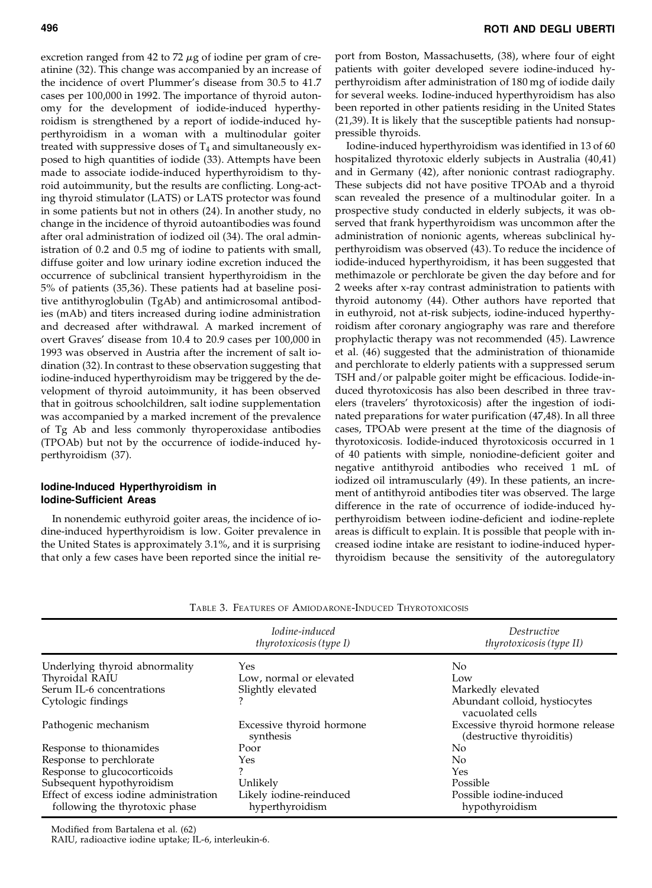excretion ranged from 42 to 72  $\mu$ g of iodine per gram of creatinine (32). This change was accompanied by an increase of the incidence of overt Plummer's disease from 30.5 to 41.7 cases per 100,000 in 1992. The importance of thyroid autonomy for the development of iodide-induced hyperthyroidism is strengthened by a report of iodide-induced hyperthyroidism in a woman with a multinodular goiter treated with suppressive doses of  $T_4$  and simultaneously exposed to high quantities of iodide (33). Attempts have been made to associate iodide-induced hyperthyroidism to thyroid autoimmunity, but the results are conflicting. Long-acting thyroid stimulator (LATS) or LATS protector was found in some patients but not in others (24). In another study, no change in the incidence of thyroid autoantibodies was found after oral administration of iodized oil (34). The oral administration of 0.2 and 0.5 mg of iodine to patients with small, diffuse goiter and low urinary iodine excretion induced the occurrence of subclinical transient hyperthyroidism in the 5% of patients (35,36). These patients had at baseline positive antithyroglobulin (TgAb) and antimicrosomal antibodies (mAb) and titers increased during iodine administration and decreased after withdrawal. A marked increment of overt Graves' disease from 10.4 to 20.9 cases per 100,000 in 1993 was observed in Austria after the increment of salt iodination (32). In contrast to these observation suggesting that iodine-induced hyperthyroidism may be triggered by the development of thyroid autoimmunity, it has been observed that in goitrous schoolchildren, salt iodine supplementation was accompanied by a marked increment of the prevalence of Tg Ab and less commonly thyroperoxidase antibodies (TPOAb) but not by the occurrence of iodide-induced hyperthyroidism (37).

## **Iodine-Induced Hyperthyroidism in Iodine-Sufficient Areas**

In nonendemic euthyroid goiter areas, the incidence of iodine-induced hyperthyroidism is low. Goiter prevalence in the United States is approximately 3.1%, and it is surprising that only a few cases have been reported since the initial report from Boston, Massachusetts, (38), where four of eight patients with goiter developed severe iodine-induced hyperthyroidism after administration of 180 mg of iodide daily for several weeks. Iodine-induced hyperthyroidism has also been reported in other patients residing in the United States (21,39). It is likely that the susceptible patients had nonsuppressible thyroids.

Iodine-induced hyperthyroidism was identified in 13 of 60 hospitalized thyrotoxic elderly subjects in Australia (40,41) and in Germany (42), after nonionic contrast radiography. These subjects did not have positive TPOAb and a thyroid scan revealed the presence of a multinodular goiter. In a prospective study conducted in elderly subjects, it was observed that frank hyperthyroidism was uncommon after the administration of nonionic agents, whereas subclinical hyperthyroidism was observed (43). To reduce the incidence of iodide-induced hyperthyroidism, it has been suggested that methimazole or perchlorate be given the day before and for 2 weeks after x-ray contrast administration to patients with thyroid autonomy (44). Other authors have reported that in euthyroid, not at-risk subjects, iodine-induced hyperthyroidism after coronary angiography was rare and therefore prophylactic therapy was not recommended (45). Lawrence et al. (46) suggested that the administration of thionamide and perchlorate to elderly patients with a suppressed serum TSH and/or palpable goiter might be efficacious. Iodide-induced thyrotoxicosis has also been described in three travelers (travelers' thyrotoxicosis) after the ingestion of iodinated preparations for water purification (47,48). In all three cases, TPOAb were present at the time of the diagnosis of thyrotoxicosis. Iodide-induced thyrotoxicosis occurred in 1 of 40 patients with simple, noniodine-deficient goiter and negative antithyroid antibodies who received 1 mL of iodized oil intramuscularly (49). In these patients, an increment of antithyroid antibodies titer was observed. The large difference in the rate of occurrence of iodide-induced hyperthyroidism between iodine-deficient and iodine-replete areas is difficult to explain. It is possible that people with increased iodine intake are resistant to iodine-induced hyperthyroidism because the sensitivity of the autoregulatory

| TABLE 3. FEATURES OF AMIODARONE-INDUCED THYROTOXICOSIS |  |
|--------------------------------------------------------|--|
|--------------------------------------------------------|--|

|                                                                          | Iodine-induced<br>thyrotoxicosis (type I)  | Destructive<br>thyrotoxicosis (type II)                        |
|--------------------------------------------------------------------------|--------------------------------------------|----------------------------------------------------------------|
| Underlying thyroid abnormality                                           | Yes                                        | No                                                             |
| Thyroidal RAIU                                                           | Low, normal or elevated                    | Low                                                            |
| Serum IL-6 concentrations                                                | Slightly elevated                          | Markedly elevated                                              |
| Cytologic findings                                                       |                                            | Abundant colloid, hystiocytes<br>vacuolated cells              |
| Pathogenic mechanism                                                     | Excessive thyroid hormone<br>synthesis     | Excessive thyroid hormone release<br>(destructive thyroiditis) |
| Response to thionamides                                                  | Poor                                       | No.                                                            |
| Response to perchlorate                                                  | Yes                                        | $\overline{N}$                                                 |
| Response to glucocorticoids                                              |                                            | Yes                                                            |
| Subsequent hypothyroidism                                                | Unlikely                                   | Possible                                                       |
| Effect of excess iodine administration<br>following the thyrotoxic phase | Likely iodine-reinduced<br>hyperthyroidism | Possible iodine-induced<br>hypothyroidism                      |

Modified from Bartalena et al. (62)

RAIU, radioactive iodine uptake; IL-6, interleukin-6.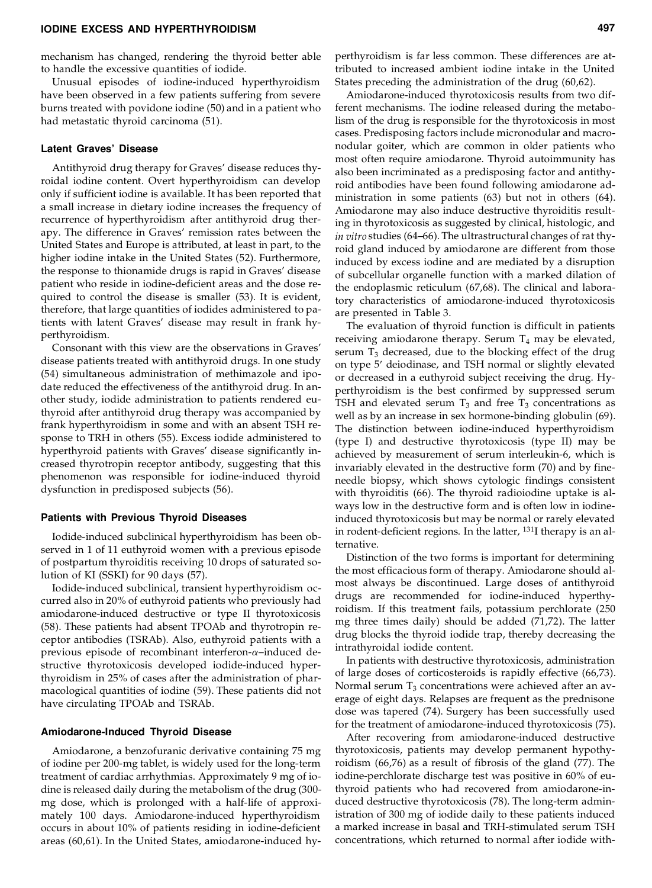## **IODINE EXCESS AND HYPERTHYROIDISM 497**

mechanism has changed, rendering the thyroid better able to handle the excessive quantities of iodide.

Unusual episodes of iodine-induced hyperthyroidism have been observed in a few patients suffering from severe burns treated with povidone iodine (50) and in a patient who had metastatic thyroid carcinoma (51).

## **Latent Graves' Disease**

Antithyroid drug therapy for Graves' disease reduces thyroidal iodine content. Overt hyperthyroidism can develop only if sufficient iodine is available. It has been reported that a small increase in dietary iodine increases the frequency of recurrence of hyperthyroidism after antithyroid drug therapy. The difference in Graves' remission rates between the United States and Europe is attributed, at least in part, to the higher iodine intake in the United States (52). Furthermore, the response to thionamide drugs is rapid in Graves' disease patient who reside in iodine-deficient areas and the dose re quired to control the disease is smaller (53). It is evident, therefore, that large quantities of iodides administered to patients with latent Graves' disease may result in frank hyperthyroidism.

Consonant with this view are the observations in Graves' disease patients treated with antithyroid drugs. In one study (54) simultaneous administration of methimazole and ipodate reduced the effectiveness of the antithyroid drug. In an other study, iodide administration to patients rendered euthyroid after antithyroid drug therapy was accompanied by frank hyperthyroidism in some and with an absent TSH re sponse to TRH in others (55). Excess iodide administered to hyperthyroid patients with Graves' disease significantly increased thyrotropin receptor antibody, suggesting that this phenomenon was responsible for iodine-induced thyroid dysfunction in predisposed subjects (56).

# **Patients with Previous Thyroid Diseases**

Iodide-induced subclinical hyperthyroidism has been observed in 1 of 11 euthyroid women with a previous episode of postpartum thyroiditis receiving 10 drops of saturated solution of KI (SSKI) for 90 days (57).

Iodide-induced subclinical, transient hyperthyroidism oc curred also in 20% of euthyroid patients who previously had amiodarone-induced destructive or type II thyrotoxicosis (58). These patients had absent TPOAb and thyrotropin re ceptor antibodies (TSRAb). Also, euthyroid patients with a previous episode of recombinant interferon- $\alpha$ -induced destructive thyrotoxicosis developed iodide-induced hyperthyroidism in 25% of cases after the administration of pharmacological quantities of iodine (59). These patients did not have circulating TPOAb and TSRAb.

#### **Amiodarone-Induced Thyroid Disease**

Amiodarone, a benzofuranic derivative containing 75 mg of iodine per 200-mg tablet, is widely used for the long-term treatment of cardiac arrhythmias. Approximately 9 mg of iodine is released daily during the metabolism of the drug (300 mg dose, which is prolonged with a half-life of approximately 100 days. Amiodarone-induced hyperthyroidism occurs in about 10% of patients residing in iodine-deficient areas (60,61). In the United States, amiodarone-induced hyperthyroidism is far less common. These differences are attributed to increased ambient iodine intake in the United States preceding the administration of the drug (60,62).

Amiodarone-induced thyrotoxicosis results from two different mechanisms. The iodine released during the metabolism of the drug is responsible for the thyrotoxicosis in most cases. Predisposing factors include micronodular and macro nodular goiter, which are common in older patients who most often require amiodarone. Thyroid autoimmunity has also been incriminated as a predisposing factor and antithyroid antibodies have been found following amiodarone administration in some patients (63) but not in others (64). Amiodarone may also induce destructive thyroiditis resulting in thyrotoxicosis as suggested by clinical, histologic, and *in vitro* studies (64–66). The ultrastructural changes of rat thyroid gland induced by amiodarone are different from those induced by excess iodine and are mediated by a disruption of subcellular organelle function with a marked dilation of the endoplasmic reticulum (67,68). The clinical and laboratory characteristics of amiodarone-induced thyrotoxicosis are presented in Table 3.

The evaluation of thyroid function is difficult in patients receiving amiodarone therapy. Serum  $T_4$  may be elevated, serum  $T_3$  decreased, due to the blocking effect of the drug on type 5' deiodinase, and TSH normal or slightly elevated or decreased in a euthyroid subject receiving the drug. Hyperthyroidism is the best confirmed by suppressed serum TSH and elevated serum  $T_3$  and free  $T_3$  concentrations as well as by an increase in sex hormone-binding globulin (69). The distinction between iodine-induced hyperthyroidism (type I) and destructive thyrotoxicosis (type II) may be achieved by measurement of serum interleukin-6, which is invariably elevated in the destructive form (70) and by fineneedle biopsy, which shows cytologic findings consistent with thyroiditis (66). The thyroid radioiodine uptake is always low in the destructive form and is often low in iodineinduced thyrotoxicosis but may be normal or rarely elevated in rodent-deficient regions. In the latter, 131I therapy is an alternative.

Distinction of the two forms is important for determining the most efficacious form of therapy. Amiodarone should almost always be discontinued. Large doses of antithyroid drugs are recommended for iodine-induced hyperthyroidism. If this treatment fails, potassium perchlorate (250 mg three times daily) should be added (71,72). The latter drug blocks the thyroid iodide trap, thereby decreasing the intrathyroidal iodide content.

In patients with destructive thyrotoxicosis, administration of large doses of corticosteroids is rapidly effective (66,73). Normal serum  $T_3$  concentrations were achieved after an average of eight days. Relapses are frequent as the prednisone dose was tapered (74). Surgery has been successfully used for the treatment of amiodarone-induced thyrotoxicosis (75).

After recovering from amiodarone-induced destructive thyrotoxicosis, patients may develop permanent hypothyroidism (66,76) as a result of fibrosis of the gland (77). The iodine-perchlorate discharge test was positive in 60% of euthyroid patients who had recovered from amiodarone-induced destructive thyrotoxicosis (78). The long-term administration of 300 mg of iodide daily to these patients induced a marked increase in basal and TRH-stimulated serum TSH concentrations, which returned to normal after iodide with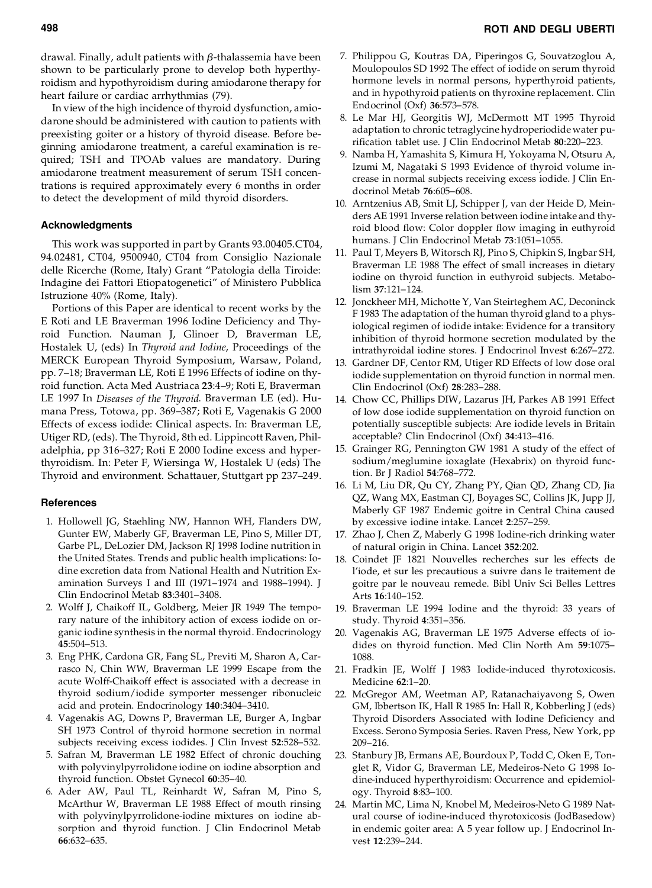drawal. Finally, adult patients with *b*-thalassemia have been shown to be particularly prone to develop both hyperthyroidism and hypothyroidism during amiodarone therapy for heart failure or cardiac arrhythmias (79).

In view of the high incidence of thyroid dysfunction, amiodarone should be administered with caution to patients with <sup>8.</sup> preexisting goiter or a history of thyroid disease. Before beginning amiodarone treatment, a careful examination is re quired; TSH and TPOAb values are mandatory. During amiodarone treatment measurement of serum TSH concentrations is required approximately every 6 months in order to detect the development of mild thyroid disorders.

## **Acknowledgments**

This work was supported in part by Grants 93.00405.CT04, 94.02481, CT04, 9500940, CT04 from Consiglio Nazionale delle Ricerche (Rome, Italy) Grant "Patologia della Tiroide: Indagine dei Fattori Etiopatogenetici" of Ministero Pubblica Istruzione 40% (Rome, Italy).

Portions of this Paper are identical to recent works by the E Roti and LE Braverman 1996 Iodine Deficiency and Thyroid Function. Nauman J, Glinoer D, Braverman LE, Hostalek U, (eds) In *Thyroid and Iodine*, Proceedings of the MERCK European Thyroid Symposium, Warsaw, Poland, pp. 7–18; Braverman LE, Roti E 1996 Effects of iodine on thyroid function. Acta Med Austriaca **23**:4–9; Roti E, Braverman LE 1997 In *Diseases of the Thyroid*. Braverman LE (ed). Hu mana Press, Totowa, pp. 369–387; Roti E, Vagenakis G 2000 Effects of excess iodide: Clinical aspects. In: Braverman LE, Utiger RD, (eds). The Thyroid, 8th ed. Lippincott Raven, Philadelphia, pp 316–327; Roti E 2000 Iodine excess and hyperthyroidism. In: Peter F, Wiersinga W, Hostalek U (eds) The Thyroid and environment. Schattauer, Stuttgart pp 237–249.

#### **References**

- 1. Hollowell JG, Staehling NW, Hannon WH, Flanders DW, Gunter EW, Maberly GF, Braverman LE, Pino S, Miller DT, Garbe PL, DeLozier DM, Jackson RJ 1998 Iodine nutrition in the United States. Trends and public health implications: Iodine excretion data from National Health and Nutrition Examination Surveys I and III (1971–1974 and 1988–1994). J Clin Endocrinol Metab **83**:3401–3408.
- 2. Wolff J, Chaikoff IL, Goldberg, Meier JR 1949 The temporary nature of the inhibitory action of excess iodide on or ganic iodine synthesis in the normal thyroid. Endocrinology **45**:504–513.
- 3. Eng PHK, Cardona GR, Fang SL, Previti M, Sharon A, Carrasco N, Chin WW, Braverman LE 1999 Escape from the acute Wolff-Chaikoff effect is associated with a decrease in thyroid sodium/iodide symporter messenger ribonucleic acid and protein. Endocrinology **140**:3404–3410.
- 4. Vagenakis AG, Downs P, Braverman LE, Burger A, Ingbar SH 1973 Control of thyroid hormone secretion in normal subjects receiving excess iodides. J Clin Invest **52**:528–532.
- 5. Safran M, Braverman LE 1982 Effect of chronic douching with polyvinylpyrrolidone iodine on iodine absorption and thyroid function. Obstet Gynecol **60**:35–40.
- 6. Ader AW, Paul TL, Reinhardt W, Safran M, Pino S, McArthur W, Braverman LE 1988 Effect of mouth rinsing with polyvinylpyrrolidone-iodine mixtures on iodine absorption and thyroid function. J Clin Endocrinol Metab **66**:632–635.
- 7. Philippou G, Koutras DA, Piperingos G, Souvatzoglou A, Moulopoulos SD 1992 The effect of iodide on serum thyroid hormone levels in normal persons, hyperthyroid patients, and in hypothyroid patients on thyroxine replacement. Clin Endocrinol (Oxf) **36**:573–578.
- Le Mar HJ, Georgitis WJ, McDermott MT 1995 Thyroid adaptation to chronic tetraglycine hydroperiodide water purification tablet use. J Clin Endocrinol Metab **80**:220–223.
- 9. Namba H, Yamashita S, Kimura H, Yokoyama N, Otsuru A, Izumi M, Nagataki S 1993 Evidence of thyroid volume in crease in normal subjects receiving excess iodide. J Clin Endocrinol Metab **76**:605–608.
- 10. Arntzenius AB, Smit LJ, Schipper J, van der Heide D, Meinders AE 1991 Inverse relation between iodine intake and thyroid blood flow: Color doppler flow imaging in euthyroid humans. J Clin Endocrinol Metab **73**:1051–1055.
- 11. Paul T, Meyers B, Witorsch RJ, Pino S, Chipkin S, Ingbar SH, Braverman LE 1988 The effect of small increases in dietary iodine on thyroid function in euthyroid subjects. Metabolism **37**:121–124.
- 12. Jonckheer MH, Michotte Y, Van Steirteghem AC, Deconinck F 1983 The adaptation of the human thyroid gland to a physiological regimen of iodide intake: Evidence for a transitory inhibition of thyroid hormone secretion modulated by the intrathyroidal iodine stores. J Endocrinol Invest **6**:267–272.
- 13. Gardner DF, Centor RM, Utiger RD Effects of low dose oral iodide supplementation on thyroid function in normal men. Clin Endocrinol (Oxf) **28**:283–288.
- 14. Chow CC, Phillips DIW, Lazarus JH, Parkes AB 1991 Effect of low dose iodide supplementation on thyroid function on potentially susceptible subjects: Are iodide levels in Britain acceptable? Clin Endocrinol (Oxf) **34**:413–416.
- 15. Grainger RG, Pennington GW 1981 A study of the effect of sodium/meglumine ioxaglate (Hexabrix) on thyroid function. Br J Radiol **54**:768–772.
- 16. Li M, Liu DR, Qu CY, Zhang PY, Qian QD, Zhang CD, Jia QZ, Wang MX, Eastman CJ, Boyages SC, Collins JK, Jupp JJ, Maberly GF 1987 Endemic goitre in Central China caused by excessive iodine intake. Lancet **2**:257–259.
- 17. Zhao J, Chen Z, Maberly G 1998 Iodine-rich drinking water of natural origin in China. Lancet **352**:202.
- 18. Coindet JF 1821 Nouvelles recherches sur les effects de l'iode, et sur les precautious a suivre dans le traitement de goitre par le nouveau remede. Bibl Univ Sci Belles Lettres Arts **16**:140–152.
- 19. Braverman LE 1994 Iodine and the thyroid: 33 years of study. Thyroid **4**:351–356.
- 20. Vagenakis AG, Braverman LE 1975 Adverse effects of iodides on thyroid function. Med Clin North Am **59**:1075– 1088.
- 21. Fradkin JE, Wolff J 1983 Iodide-induced thyrotoxicosis. Medicine **62**:1–20.
- 22. McGregor AM, Weetman AP, Ratanachaiyavong S, Owen GM, Ibbertson IK, Hall R 1985 In: Hall R, Kobberling J (eds) Thyroid Disorders Associated with Iodine Deficiency and Excess. Serono Symposia Series. Raven Press, New York, pp 209–216.
- 23. Stanbury JB, Ermans AE, Bourdoux P, Todd C, Oken E, Tonglet R, Vidor G, Braverman LE, Medeiros-Neto G 1998 Iodine-induced hyperthyroidism: Occurrence and epidemiology. Thyroid **8**:83–100.
- 24. Martin MC, Lima N, Knobel M, Medeiros-Neto G 1989 Natural course of iodine-induced thyrotoxicosis (JodBasedow) in endemic goiter area: A 5 year follow up. J Endocrinol Invest **12**:239–244.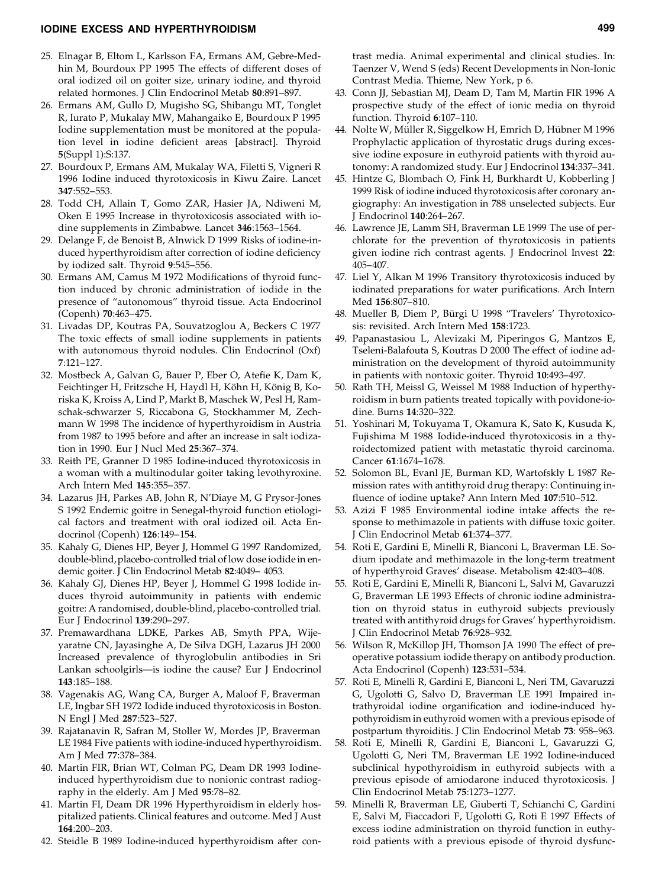## **IODINE EXCESS AND HYPERTHYROIDISM 499**

- 25. Elnagar B, Eltom L, Karlsson FA, Ermans AM, Gebre-Medhin M, Bourdoux PP 1995 The effects of different doses of oral iodized oil on goiter size, urinary iodine, and thyroid related hormones. J Clin Endocrinol Metab **80**:891–897.
- 26. Ermans AM, Gullo D, Mugisho SG, Shibangu MT, Tonglet R, Iurato P, Mukalay MW, Mahangaiko E, Bourdoux P 1995 Iodine supplementation must be monitored at the population level in iodine deficient areas [abstract]. Thyroid **5**(Suppl 1):S:137.
- 27. Bourdoux P, Ermans AM, Mukalay WA, Filetti S, Vigneri R 1996 Iodine induced thyrotoxicosis in Kiwu Zaire. Lancet **347**:552–553.
- 28. Todd CH, Allain T, Gomo ZAR, Hasier JA, Ndiweni M, Oken E 1995 Increase in thyrotoxicosis associated with iodine supplements in Zimbabwe. Lancet **346**:1563–1564.
- 29. Delange F, de Benoist B, Alnwick D 1999 Risks of iodine-induced hyperthyroidism after correction of iodine deficiency by iodized salt. Thyroid **9**:545–556.
- 30. Ermans AM, Camus M 1972 Modifications of thyroid function induced by chronic administration of iodide in the presence of "autonomous" thyroid tissue. Acta Endocrinol (Copenh) **70**:463–475.
- 31. Livadas DP, Koutras PA, Souvatzoglou A, Beckers C 1977 The toxic effects of small iodine supplements in patients with autonomous thyroid nodules. Clin Endocrinol (Oxf) **7**:121–127.
- 32. Mostbeck A, Galvan G, Bauer P, Eber O, Atefie K, Dam K, Feichtinger H, Fritzsche H, Haydl H, Köhn H, König B, Koriska K, Kroiss A, Lind P, Markt B, Maschek W, Pesl H, Ramschak-schwarzer S, Riccabona G, Stockhammer M, Zech mann W 1998 The incidence of hyperthyroidism in Austria from 1987 to 1995 before and after an increase in salt iodization in 1990. Eur J Nucl Med **25**:367–374.
- 33. Reith PE, Granner D 1985 Iodine-induced thyrotoxicosis in a woman with a multinodular goiter taking levothyroxine. Arch Intern Med **145**:355–357.
- 34. Lazarus JH, Parkes AB, John R, N'Diaye M, G Prysor-Jones S 1992 Endemic goitre in Senegal-thyroid function etiological factors and treatment with oral iodized oil. Acta Endocrinol (Copenh) **126**:149–154.
- 35. Kahaly G, Dienes HP, Beyer J, Hommel G 1997 Randomized, double-blind, placebo-controlled trial of low dose iodide in en demic goiter. J Clin Endocrinol Metab **82**:4049– 4053.
- 36. Kahaly GJ, Dienes HP, Beyer J, Hommel G 1998 Iodide induces thyroid autoimmunity in patients with endemic goitre: A randomised, double-blind, placebo-controlled trial. Eur J Endocrinol **139**:290–297.
- 37. Premawardhana LDKE, Parkes AB, Smyth PPA, Wijeyaratne CN, Jayasinghe A, De Silva DGH, Lazarus JH 2000 Increased prevalence of thyroglobulin antibodies in Sri Lankan schoolgirls—is iodine the cause? Eur J Endocrinol **143**:185–188.
- 38. Vagenakis AG, Wang CA, Burger A, Maloof F, Braverman LE, Ingbar SH 1972 Iodide induced thyrotoxicosis in Boston. N Engl J Med **287**:523–527.
- 39. Rajatanavin R, Safran M, Stoller W, Mordes JP, Braverman LE 1984 Five patients with iodine-induced hyperthyroidism. Am J Med **77**:378–384.
- 40. Martin FIR, Brian WT, Colman PG, Deam DR 1993 Iodineinduced hyperthyroidism due to nonionic contrast radiography in the elderly. Am J Med **95**:78–82.
- 41. Martin FI, Deam DR 1996 Hyperthyroidism in elderly hospitalized patients. Clinical features and outcome. Med J Aust **164**:200–203.
- 42. Steidle B 1989 Iodine-induced hyperthyroidism after con-

trast media. Animal experimental and clinical studies. In: Taenzer V, Wend S (eds) Recent Developments in Non-Ionic Contrast Media. Thieme, New York, p 6.

- 43. Conn JJ, Sebastian MJ, Deam D, Tam M, Martin FIR 1996 A prospective study of the effect of ionic media on thyroid function. Thyroid **6**:107–110.
- 44. Nolte W, Müller R, Siggelkow H, Emrich D, Hübner M 1996 Prophylactic application of thyrostatic drugs during exces sive iodine exposure in euthyroid patients with thyroid autonomy: A randomized study. Eur J Endocrinol **134**:337–341.
- 45. Hintze G, Blombach O, Fink H, Burkhardt U, Kobberling J 1999 Risk of iodine induced thyrotoxicosis after coronary an giography: An investigation in 788 unselected subjects. Eur J Endocrinol **140**:264–267.
- 46. Lawrence JE, Lamm SH, Braverman LE 1999 The use of perchlorate for the prevention of thyrotoxicosis in patients given iodine rich contrast agents. J Endocrinol Invest **22**: 405–407.
- 47. Liel Y, Alkan M 1996 Transitory thyrotoxicosis induced by iodinated preparations for water purifications. Arch Intern Med **156**:807–810.
- 48. Mueller B, Diem P, Bürgi U 1998 "Travelers' Thyrotoxicosis: revisited. Arch Intern Med **158**:1723.
- 49. Papanastasiou L, Alevizaki M, Piperingos G, Mantzos E, Tseleni-Balafouta S, Koutras D 2000 The effect of iodine administration on the development of thyroid autoimmunity in patients with nontoxic goiter. Thyroid **10**:493–497.
- 50. Rath TH, Meissl G, Weissel M 1988 Induction of hyperthyroidism in burn patients treated topically with povidone-iodine. Burns **14**:320–322.
- 51. Yoshinari M, Tokuyama T, Okamura K, Sato K, Kusuda K, Fujishima M 1988 Iodide-induced thyrotoxicosis in a thyroidectomized patient with metastatic thyroid carcinoma. Cancer **61**:1674–1678.
- 52. Solomon BL, Evanl JE, Burman KD, Wartofskly L 1987 Remission rates with antithyroid drug therapy: Continuing influence of iodine uptake? Ann Intern Med **107**:510–512.
- 53. Azizi F 1985 Environmental iodine intake affects the re sponse to methimazole in patients with diffuse toxic goiter. J Clin Endocrinol Metab **61**:374–377.
- 54. Roti E, Gardini E, Minelli R, Bianconi L, Braverman LE. Sodium ipodate and methimazole in the long-term treatment of hyperthyroid Graves' disease. Metabolism **42**:403–408.
- 55. Roti E, Gardini E, Minelli R, Bianconi L, Salvi M, Gavaruzzi G, Braverman LE 1993 Effects of chronic iodine administration on thyroid status in euthyroid subjects previously treated with antithyroid drugs for Graves' hyperthyroidism. J Clin Endocrinol Metab **76**:928–932.
- 56. Wilson R, McKillop JH, Thomson JA 1990 The effect of preoperative potassium iodide therapy on antibody production. Acta Endocrinol (Copenh) **123**:531–534.
- 57. Roti E, Minelli R, Gardini E, Bianconi L, Neri TM, Gavaruzzi G, Ugolotti G, Salvo D, Braverman LE 1991 Impaired intrathyroidal iodine organification and iodine-induced hypothyroidism in euthyroid women with a previous episode of postpartum thyroiditis. J Clin Endocrinol Metab **73**: 958–963.
- 58. Roti E, Minelli R, Gardini E, Bianconi L, Gavaruzzi G, Ugolotti G, Neri TM, Braverman LE 1992 Iodine-induced subclinical hypothyroidism in euthyroid subjects with a previous episode of amiodarone induced thyrotoxicosis. J Clin Endocrinol Metab **75**:1273–1277.
- 59. Minelli R, Braverman LE, Giuberti T, Schianchi C, Gardini E, Salvi M, Fiaccadori F, Ugolotti G, Roti E 1997 Effects of excess iodine administration on thyroid function in euthyroid patients with a previous episode of thyroid dysfunc-